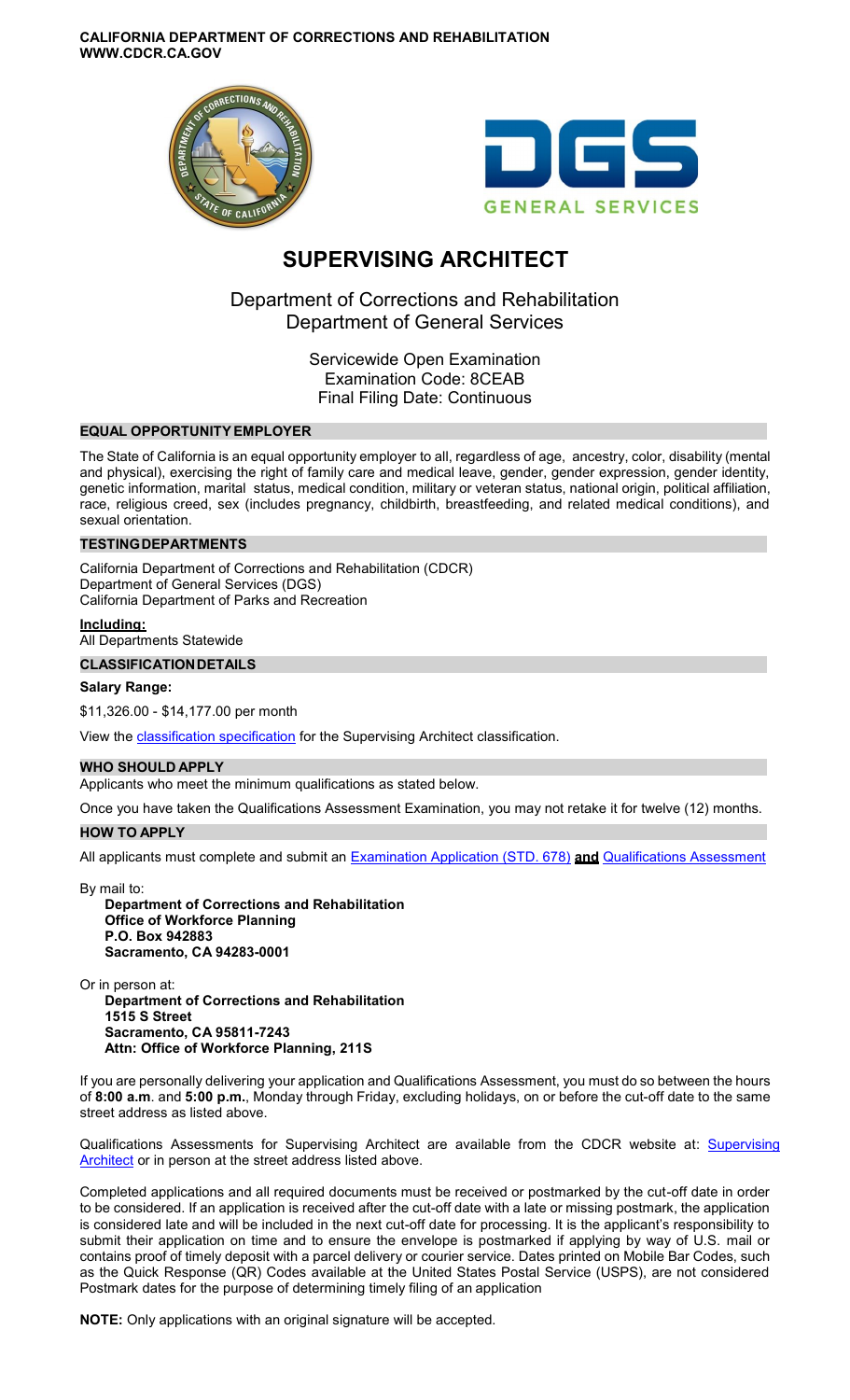**CALIFORNIA DEPARTMENT OF CORRECTIONS AND REHABILITATION WWW.CDCR.CA.GOV** 





# **SUPERVISING ARCHITECT**

Department of Corrections and Rehabilitation Department of General Services

> Servicewide Open Examination Examination Code: 8CEAB Final Filing Date: Continuous

# **EQUAL OPPORTUNITY EMPLOYER**

The State of California is an equal opportunity employer to all, regardless of age, ancestry, color, disability (mental and physical), exercising the right of family care and medical leave, gender, gender expression, gender identity, genetic information, marital status, medical condition, military or veteran status, national origin, political affiliation, race, religious creed, sex (includes pregnancy, childbirth, breastfeeding, and related medical conditions), and sexual orientation.

#### **TESTINGDEPARTMENTS**

California Department of Corrections and Rehabilitation (CDCR) Department of General Services (DGS) California Department of Parks and Recreation

#### **Including:**

All Departments Statewide

#### **CLASSIFICATIONDETAILS**

#### **Salary Range:**

\$11,326.00 - \$14,177.00 per month

View the **classification specification** for the Supervising Architect classification.

### **WHO SHOULD APPLY**

Applicants who meet the minimum qualifications as stated below.

Once you have taken the Qualifications Assessment Examination, you may not retake it for twelve (12) months.

#### **HOW TO APPLY**

All applicants must complete and submit an [Examination Application \(STD. 678\)](https://jobs.ca.gov/pdf/STD678.pdf) **and** [Qualifications Assessment](https://www.cdcr.ca.gov/careers/supvgarchitectqa-o-c/) 

By mail to: **Department of Corrections and Rehabilitation Office of Workforce Planning P.O. Box 942883 Sacramento, CA 94283-0001** 

Or in person at: **Department of Corrections and Rehabilitation 1515 S Street Sacramento, CA 95811-7243 Attn: Office of Workforce Planning, 211S** 

If you are personally delivering your application and Qualifications Assessment, you must do so between the hours of **8:00 a.m**. and **5:00 p.m.**, Monday through Friday, excluding holidays, on or before the cut-off date to the same street address as listed above.

Qualifications Assessments for [Supervising](https://www.cdcr.ca.gov/careers/supvgarchitectqa-o-c/) Architect are available from the CDCR website at: Supervising [Architect](https://www.cdcr.ca.gov/careers/supvgarchitectqa-o-c/) or in person at the street address listed above.

Completed applications and all required documents must be received or postmarked by the cut-off date in order to be considered. If an application is received after the cut-off date with a late or missing postmark, the application is considered late and will be included in the next cut-off date for processing. It is the applicant's responsibility to submit their application on time and to ensure the envelope is postmarked if applying by way of U.S. mail or contains proof of timely deposit with a parcel delivery or courier service. Dates printed on Mobile Bar Codes, such as the Quick Response (QR) Codes available at the United States Postal Service (USPS), are not considered Postmark dates for the purpose of determining timely filing of an application

**NOTE:** Only applications with an original signature will be accepted.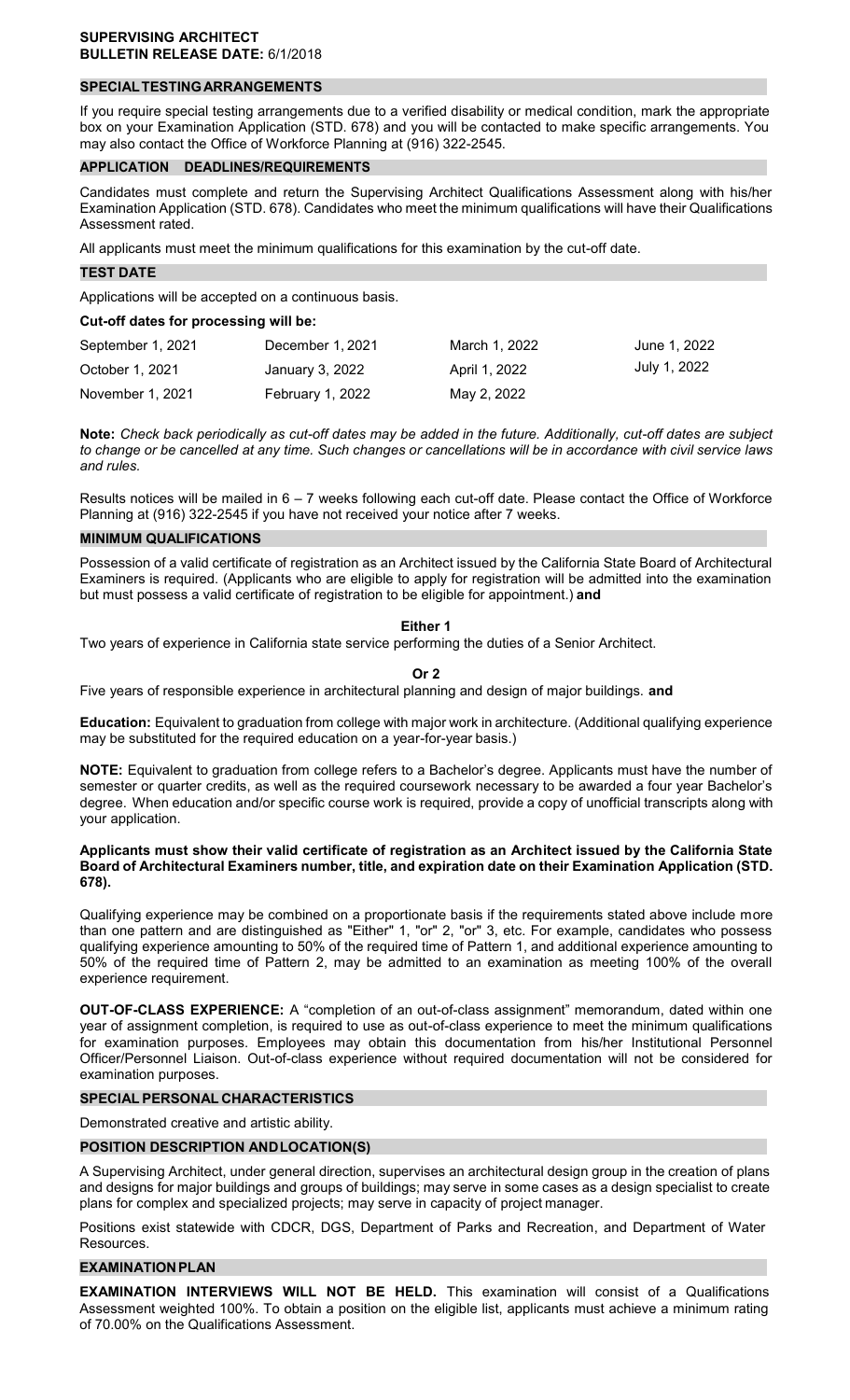# **SPECIALTESTINGARRANGEMENTS**

If you require special testing arrangements due to a verified disability or medical condition, mark the appropriate box on your Examination Application (STD. 678) and you will be contacted to make specific arrangements. You may also contact the Office of Workforce Planning at (916) 322-2545.

#### **APPLICATION DEADLINES/REQUIREMENTS**

Candidates must complete and return the Supervising Architect Qualifications Assessment along with his/her Examination Application (STD. 678). Candidates who meet the minimum qualifications will have their Qualifications Assessment rated.

All applicants must meet the minimum qualifications for this examination by the cut-off date.

#### **TEST DATE**

Applications will be accepted on a continuous basis.

**Cut-off dates for processing will be:** 

| September 1, 2021 | December 1, 2021 | March 1, 2022 | June 1, 2022 |
|-------------------|------------------|---------------|--------------|
| October 1, 2021   | January 3, 2022  | April 1, 2022 | July 1, 2022 |
| November 1, 2021  | February 1, 2022 | May 2, 2022   |              |

**Note:** *Check back periodically as cut-off dates may be added in the future. Additionally, cut-off dates are subject to change or be cancelled at any time. Such changes or cancellations will be in accordance with civil service laws and rules.* 

Results notices will be mailed in 6 – 7 weeks following each cut-off date. Please contact the Office of Workforce Planning at (916) 322-2545 if you have not received your notice after 7 weeks.

# **MINIMUM QUALIFICATIONS**

Possession of a valid certificate of registration as an Architect issued by the California State Board of Architectural Examiners is required. (Applicants who are eligible to apply for registration will be admitted into the examination but must possess a valid certificate of registration to be eligible for appointment.) **and** 

#### **Either 1**

Two years of experience in California state service performing the duties of a Senior Architect.

**Or 2** 

Five years of responsible experience in architectural planning and design of major buildings. **and** 

**Education:** Equivalent to graduation from college with major work in architecture. (Additional qualifying experience may be substituted for the required education on a year-for-year basis.)

**NOTE:** Equivalent to graduation from college refers to a Bachelor's degree. Applicants must have the number of semester or quarter credits, as well as the required coursework necessary to be awarded a four year Bachelor's degree. When education and/or specific course work is required, provide a copy of unofficial transcripts along with your application.

#### **Applicants must show their valid certificate of registration as an Architect issued by the California State Board of Architectural Examiners number, title, and expiration date on their Examination Application (STD. 678).**

Qualifying experience may be combined on a proportionate basis if the requirements stated above include more than one pattern and are distinguished as "Either" 1, "or" 2, "or" 3, etc. For example, candidates who possess qualifying experience amounting to 50% of the required time of Pattern 1, and additional experience amounting to 50% of the required time of Pattern 2, may be admitted to an examination as meeting 100% of the overall experience requirement.

**OUT-OF-CLASS EXPERIENCE:** A "completion of an out-of-class assignment" memorandum, dated within one year of assignment completion, is required to use as out-of-class experience to meet the minimum qualifications for examination purposes. Employees may obtain this documentation from his/her Institutional Personnel Officer/Personnel Liaison. Out-of-class experience without required documentation will not be considered for examination purposes.

#### **SPECIAL PERSONAL CHARACTERISTICS**

Demonstrated creative and artistic ability.

#### **POSITION DESCRIPTION ANDLOCATION(S)**

A Supervising Architect, under general direction, supervises an architectural design group in the creation of plans and designs for major buildings and groups of buildings; may serve in some cases as a design specialist to create plans for complex and specialized projects; may serve in capacity of project manager.

Positions exist statewide with CDCR, DGS, Department of Parks and Recreation, and Department of Water Resources.

#### **EXAMINATION PLAN**

**EXAMINATION INTERVIEWS WILL NOT BE HELD.** This examination will consist of a Qualifications Assessment weighted 100%. To obtain a position on the eligible list, applicants must achieve a minimum rating of 70.00% on the Qualifications Assessment.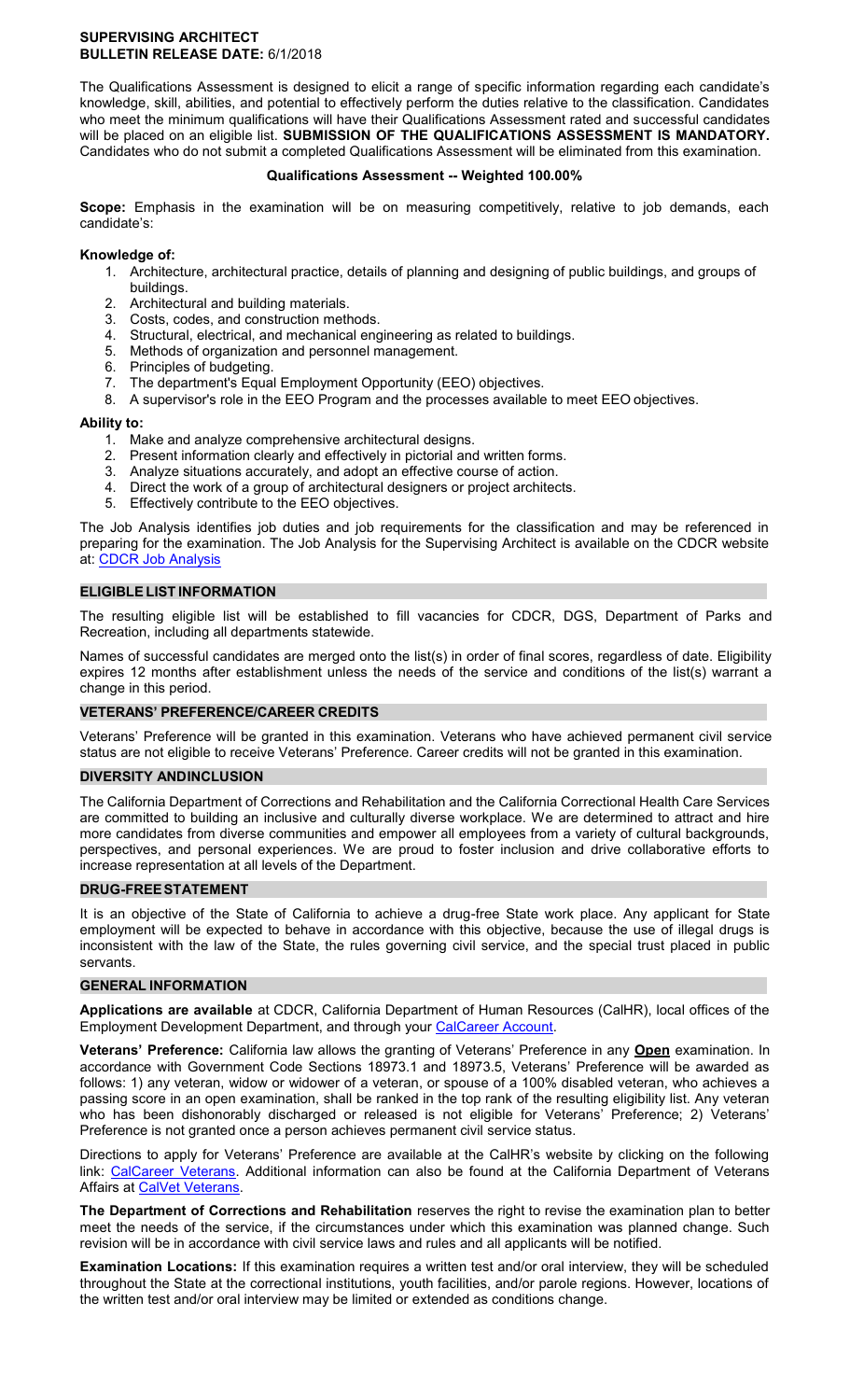## **SUPERVISING ARCHITECT BULLETIN RELEASE DATE:** 6/1/2018

The Qualifications Assessment is designed to elicit a range of specific information regarding each candidate's knowledge, skill, abilities, and potential to effectively perform the duties relative to the classification. Candidates who meet the minimum qualifications will have their Qualifications Assessment rated and successful candidates will be placed on an eligible list. **SUBMISSION OF THE QUALIFICATIONS ASSESSMENT IS MANDATORY.**  Candidates who do not submit a completed Qualifications Assessment will be eliminated from this examination.

## **Qualifications Assessment -- Weighted 100.00%**

**Scope:** Emphasis in the examination will be on measuring competitively, relative to job demands, each candidate's:

# **Knowledge of:**

- 1. Architecture, architectural practice, details of planning and designing of public buildings, and groups of buildings.
- 2. Architectural and building materials.
- 3. Costs, codes, and construction methods.
- 4. Structural, electrical, and mechanical engineering as related to buildings.
- 5. Methods of organization and personnel management.
- 6. Principles of budgeting.
- 7. The department's Equal Employment Opportunity (EEO) objectives.
- 8. A supervisor's role in the EEO Program and the processes available to meet EEO objectives.

#### **Ability to:**

- 1. Make and analyze comprehensive architectural designs.
- 2. Present information clearly and effectively in pictorial and written forms.
- 3. Analyze situations accurately, and adopt an effective course of action.
- 4. Direct the work of a group of architectural designers or project architects.
- 5. Effectively contribute to the EEO objectives.

The Job Analysis identifies job duties and job requirements for the classification and may be referenced in preparing for the examination. The Job Analysis for the Supervising Architect is available on the CDCR website at: [CDCR Job Analysis](https://www.cdcr.ca.gov/Career_Opportunities/HR/OPS/Exams/Analysis/index.html) 

## **ELIGIBLE LIST INFORMATION**

The resulting eligible list will be established to fill vacancies for CDCR, DGS, Department of Parks and Recreation, including all departments statewide.

Names of successful candidates are merged onto the list(s) in order of final scores, regardless of date. Eligibility expires 12 months after establishment unless the needs of the service and conditions of the list(s) warrant a change in this period.

# **VETERANS' PREFERENCE/CAREER CREDITS**

Veterans' Preference will be granted in this examination. Veterans who have achieved permanent civil service status are not eligible to receive Veterans' Preference. Career credits will not be granted in this examination.

#### **DIVERSITY ANDINCLUSION**

The California Department of Corrections and Rehabilitation and the California Correctional Health Care Services are committed to building an inclusive and culturally diverse workplace. We are determined to attract and hire more candidates from diverse communities and empower all employees from a variety of cultural backgrounds, perspectives, and personal experiences. We are proud to foster inclusion and drive collaborative efforts to increase representation at all levels of the Department.

#### **DRUG-FREESTATEMENT**

It is an objective of the State of California to achieve a drug-free State work place. Any applicant for State employment will be expected to behave in accordance with this objective, because the use of illegal drugs is inconsistent with the law of the State, the rules governing civil service, and the special trust placed in public servants.

#### **GENERAL INFORMATION**

**Applications are available** at CDCR, California Department of Human Resources (CalHR), local offices of the Employment Development Department, and through your [CalCareer Account.](https://www.jobs.ca.gov/) 

**Veterans' Preference:** California law allows the granting of Veterans' Preference in any **Open** examination. In accordance with Government Code Sections 18973.1 and 18973.5, Veterans' Preference will be awarded as follows: 1) any veteran, widow or widower of a veteran, or spouse of a 100% disabled veteran, who achieves a passing score in an open examination, shall be ranked in the top rank of the resulting eligibility list. Any veteran who has been dishonorably discharged or released is not eligible for Veterans' Preference; 2) Veterans' Preference is not granted once a person achieves permanent civil service status.

Directions to apply for Veterans' Preference are available at the CalHR's website by clicking on the following link: [CalCareer Veterans.](https://jobs.ca.gov/CalHRPublic/Landing/Veterans.aspx) Additional information can also be found at the California Department of Veterans Affairs at CalVet Veterans.

**The Department of Corrections and Rehabilitation** reserves the right to revise the examination plan to better meet the needs of the service, if the circumstances under which this examination was planned change. Such revision will be in accordance with civil service laws and rules and all applicants will be notified.

**Examination Locations:** If this examination requires a written test and/or oral interview, they will be scheduled throughout the State at the correctional institutions, youth facilities, and/or parole regions. However, locations of the written test and/or oral interview may be limited or extended as conditions change.